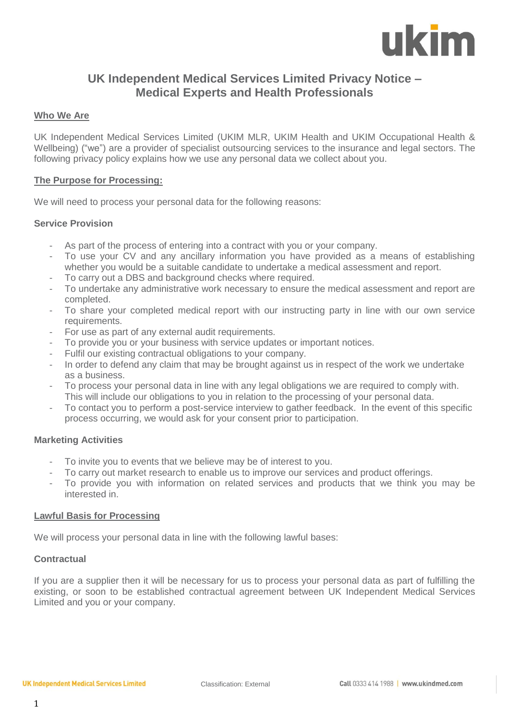

# **UK Independent Medical Services Limited Privacy Notice – Medical Experts and Health Professionals**

# **Who We Are**

UK Independent Medical Services Limited (UKIM MLR, UKIM Health and UKIM Occupational Health & Wellbeing) ("we") are a provider of specialist outsourcing services to the insurance and legal sectors. The following privacy policy explains how we use any personal data we collect about you.

# **The Purpose for Processing:**

We will need to process your personal data for the following reasons:

# **Service Provision**

- As part of the process of entering into a contract with you or your company.
- To use your CV and any ancillary information you have provided as a means of establishing whether you would be a suitable candidate to undertake a medical assessment and report.
- To carry out a DBS and background checks where required.
- To undertake any administrative work necessary to ensure the medical assessment and report are completed.
- To share your completed medical report with our instructing party in line with our own service requirements.
- For use as part of any external audit requirements.
- To provide you or your business with service updates or important notices.
- Fulfil our existing contractual obligations to your company.
- In order to defend any claim that may be brought against us in respect of the work we undertake as a business.
- To process your personal data in line with any legal obligations we are required to comply with. This will include our obligations to you in relation to the processing of your personal data.
- To contact you to perform a post-service interview to gather feedback. In the event of this specific process occurring, we would ask for your consent prior to participation.

# **Marketing Activities**

- To invite you to events that we believe may be of interest to you.
- To carry out market research to enable us to improve our services and product offerings.
- To provide you with information on related services and products that we think you may be interested in.

# **Lawful Basis for Processing**

We will process your personal data in line with the following lawful bases:

# **Contractual**

If you are a supplier then it will be necessary for us to process your personal data as part of fulfilling the existing, or soon to be established contractual agreement between UK Independent Medical Services Limited and you or your company.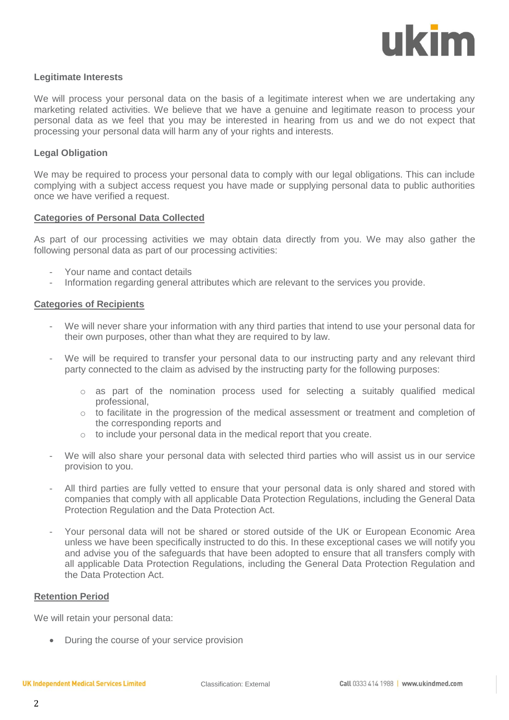

# **Legitimate Interests**

We will process your personal data on the basis of a legitimate interest when we are undertaking any marketing related activities. We believe that we have a genuine and legitimate reason to process your personal data as we feel that you may be interested in hearing from us and we do not expect that processing your personal data will harm any of your rights and interests.

### **Legal Obligation**

We may be required to process your personal data to comply with our legal obligations. This can include complying with a subject access request you have made or supplying personal data to public authorities once we have verified a request.

#### **Categories of Personal Data Collected**

As part of our processing activities we may obtain data directly from you. We may also gather the following personal data as part of our processing activities:

- Your name and contact details
- Information regarding general attributes which are relevant to the services you provide.

#### **Categories of Recipients**

- We will never share your information with any third parties that intend to use your personal data for their own purposes, other than what they are required to by law.
- We will be required to transfer your personal data to our instructing party and any relevant third party connected to the claim as advised by the instructing party for the following purposes:
	- $\circ$  as part of the nomination process used for selecting a suitably qualified medical professional,
	- o to facilitate in the progression of the medical assessment or treatment and completion of the corresponding reports and
	- o to include your personal data in the medical report that you create.
- We will also share your personal data with selected third parties who will assist us in our service provision to you.
- All third parties are fully vetted to ensure that your personal data is only shared and stored with companies that comply with all applicable Data Protection Regulations, including the General Data Protection Regulation and the Data Protection Act.
- Your personal data will not be shared or stored outside of the UK or European Economic Area unless we have been specifically instructed to do this. In these exceptional cases we will notify you and advise you of the safeguards that have been adopted to ensure that all transfers comply with all applicable Data Protection Regulations, including the General Data Protection Regulation and the Data Protection Act.

#### **Retention Period**

We will retain your personal data:

• During the course of your service provision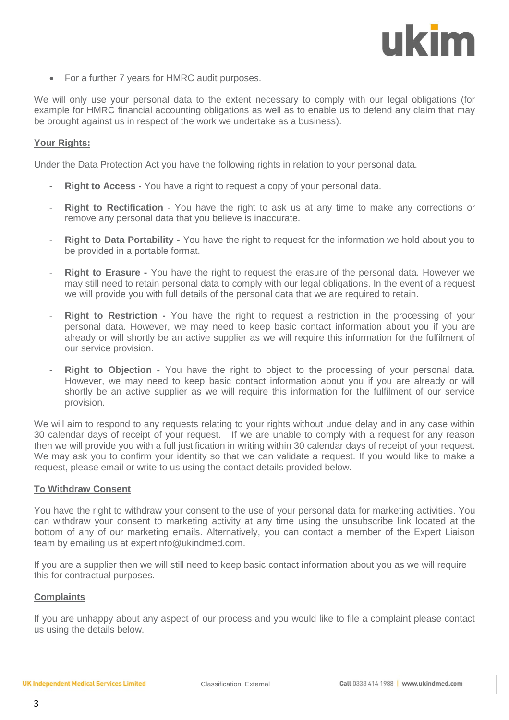# ukim

• For a further 7 years for HMRC audit purposes.

We will only use your personal data to the extent necessary to comply with our legal obligations (for example for HMRC financial accounting obligations as well as to enable us to defend any claim that may be brought against us in respect of the work we undertake as a business).

# **Your Rights:**

Under the Data Protection Act you have the following rights in relation to your personal data.

- **Right to Access** You have a right to request a copy of your personal data.
- **Right to Rectification** You have the right to ask us at any time to make any corrections or remove any personal data that you believe is inaccurate.
- **Right to Data Portability -** You have the right to request for the information we hold about you to be provided in a portable format.
- **Right to Erasure** You have the right to request the erasure of the personal data. However we may still need to retain personal data to comply with our legal obligations. In the event of a request we will provide you with full details of the personal data that we are required to retain.
- **Right to Restriction -** You have the right to request a restriction in the processing of your personal data. However, we may need to keep basic contact information about you if you are already or will shortly be an active supplier as we will require this information for the fulfilment of our service provision.
- **Right to Objection -** You have the right to object to the processing of your personal data. However, we may need to keep basic contact information about you if you are already or will shortly be an active supplier as we will require this information for the fulfilment of our service provision.

We will aim to respond to any requests relating to your rights without undue delay and in any case within 30 calendar days of receipt of your request. If we are unable to comply with a request for any reason then we will provide you with a full justification in writing within 30 calendar days of receipt of your request. We may ask you to confirm your identity so that we can validate a request. If you would like to make a request, please email or write to us using the contact details provided below.

# **To Withdraw Consent**

You have the right to withdraw your consent to the use of your personal data for marketing activities. You can withdraw your consent to marketing activity at any time using the unsubscribe link located at the bottom of any of our marketing emails. Alternatively, you can contact a member of the Expert Liaison team by emailing us at expertinfo@ukindmed.com.

If you are a supplier then we will still need to keep basic contact information about you as we will require this for contractual purposes.

# **Complaints**

If you are unhappy about any aspect of our process and you would like to file a complaint please contact us using the details below.